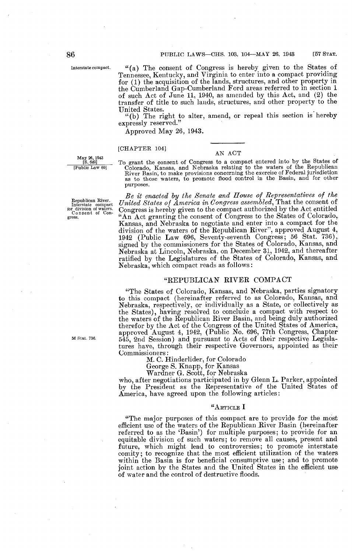Interstate compact .

"(a) The consent of Congress is hereby given to the States of Tennessee, Kentucky, and Virginia to enter into a compact providing for (1) the acquisition of the lands, structures, and other property in the Cumberland Gap-Cumberland Ford areas referred to in section 1 of such Act of June 11, 1940, as amended by this Act, and (2) the transfer of title to such lands, structures, and other property to the United States.

"(b) The right to alter, amend, or repeal this section is hereby expressly reserved."

Approved May 26, 1943 .

#### [CHAPTER 1041

May 26, 1943<br>[S. 649] 

Republican River.<br>Interstate compact<br>for division of waters.<br>Consent of Congress.

56 Stat. 736.

AN ACT<br>To grant the consent of Congress to a compact entered into by the States of [CHAPTER 104]  $\text{AN}$  ACT<br>
<u>[S. 649]</u> To grant the consent of Congress to a compact entered into by the States of<br>
[Public Law 60] Colorado, Kansas, and Nebraska relating to the waters of the Republican<br>
River Basin, to m purposes.

Be it enacted by the Senate and House of Representatives of the Interstate compact United States of America in Congress assembled, That the consent of  $In$ Congress is hereby given to the compact authorized by the Act entitled "An Act granting the consent of Congress to the States of Colorado, Kansas, and Nebraska to negotiate and enter into a compact for the division of the waters of the Republican River", approved August 4, 1942 (Public Law 696, Seventy-seventh Congress; 56 Stat. 736), signed by the commissioners for the States of Colorado, Kansas, and Nebraskaa at Lincoln, Nebraska, on December 31, 1942, and thereafter ratified by the Legislatures of the States of Colorado, Kansas, and Nebraska, which compact reads as follows

#### "REPUBLICAN RIVER COMPACT

"The States of Colorado, Kansas, and Nebraska, parties signatory to this compact (hereinafter referred to as Colorado, Kansas, and Nebraska, respectively, or individually as a State, or collectively as the States), having resolved to conclude a compact with respect to the waters of the Republican River Basin, and being duly authorized therefor by the Act of the Congress of the United States of America, approved August 4, 1942, (Public No . 696, 77th Congress, Chapter 545, 2nd Session) and pursuant to Acts of their respective Legislatures have, through their respective Governors, appointed as their Commissioners

M. C. Hinderlider, for Colorado

George S. Knapp, for Kansas

Wardner G. Scott, for Nebraska

who, after negotiations participated in by Glenn L. Parker, appointed by the President as the Representative of the United States of America, have agreed upon the following articles

#### " ARTICLE I

"The major purposes of this compact are to provide for the most efficient use of the waters of the Republican River Basin (hereinafter referred to as the 'Basin') for multiple purposes; to provide for an equitable division of such waters; to remove all causes, present and future, which might lead to controversies; to promote interstate comity ; to recognize that the most efficient utilization of the waters within the Basin is for beneficial consumptive use; and to promote joint action by the States and the United States in the efficient use of water and the control of destructive floods .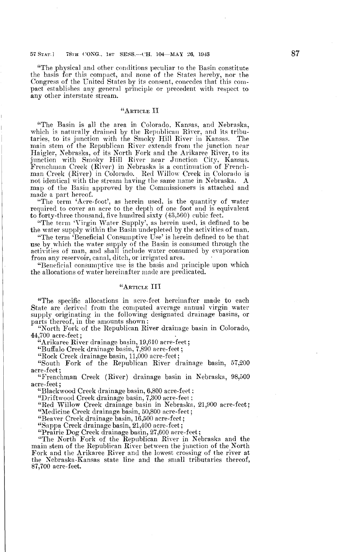"The physical and other conditions peculiar to the Basin constitute the basis for this compact, and none of the States hereby, nor the Congress of the United States by its consent, concedes that this compact establishes any general principle or precedent with respect to any other interstate stream.

### "ARTICLE II

"The Basin is all the area in Colorado, Kansas, and Nebraska, which is naturally drained by the Republican River, and its tributaries, to its junction with the Smoky Hill River in Kansas . The main stem of the Republican River extends from the junction near Haigler, Nebraska, of its North Fork and the Arikaree River, to its junction with Smoky Hill River near Junction City, Kansas. Frenchman Creek (River) in Nebraska is a continuation of Frenchman Creek (River) in Colorado . Red Willow Creek in Colorado is not identical with the stream having the same name in Nebraska . A map of the Basin approved by the Commissioners is attached and made a part hereof.

"The term 'Acre-foot', as herein used, is the quantity of water required to cover an acre to the depth of one foot and is equivalent to forty-three thousand, five hundred sixty (43,560) cubic feet .

"The term 'Virgin Water Supply', as herein used, is defined to be the water supply within the Basin undepleted by the activities of man.

"The term 'Beneficial Consumptive Use' is herein defined to be that use by which the water supply of the Basin is consumed through the activities of man, and shall include water consumed by evaporation from any reservoir, canal, ditch, or irrigated area.

"Beneficial consumptive use is the basis and principle upon which the allocations of water hereinafter made are predicated.

# "ARTICLE III

"The specific allocations in acre-feet hereinafter made to each State are derived from the computed average annual virgin water supply originating in the following designated drainage basins, or parts thereof, in the amounts shown:

"North Fork of the Republican River drainage basin in Colorado,  $44,100$  acre-feet;

"Arikaree River drainage basin, 19,610 acre-feet ;

"Buffalo Creek drainage basin, 7,890 acre-feet ;

"Rock Creek drainage basin, 11,000 acre-feet;

"South Fork of the Republican River drainage basin, 57,200 acre-feet ;

"Frenchman Creek (River) drainage basin in Nebraska, 98,500 acre-feet ;

"Blackwood Creek drainage basin, 6,800 acre-feet

"Driftwood Creek drainage basin, 7,300 acre-feet ;

"Red Willow Creek drainage basin in Nebraska, 21,900 acre-feet; "Medicine Creek drainage basin, 50,800 acre-feet;

"Beaver Creek drainage basin, 16,500 acre-feet ;

"Sappa Creek drainage basin, 21,400 acre-feet ;

"Prairie Dog Creek drainage basin, 27,600 acre-feet ;

"The North Fork of the Republican River in Nebraska and the main stem of the Republican River between the junction of the North Fork and the Arikaree River and the lowest crossing of the river at the Nebraska-Kansas state line and the small tributaries thereof, 87,700 acre-feet.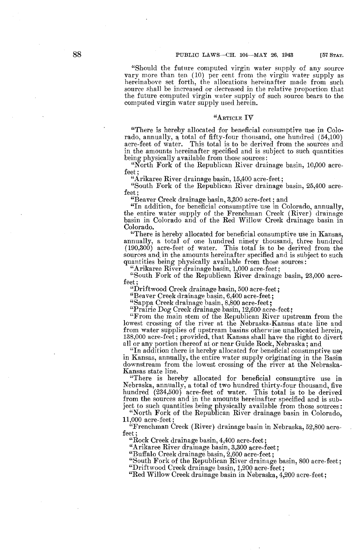[57 STAT.

"Should the future computed virgin water supply of any source vary more than ten (10) per cent from the virgin water supply as hereinabove set forth, the allocations hereinafter made from such source shall be increased or decreased in the relative proportion that the future computed virgin water supply of such source bears to the computed virgin water supply used herein.

# "ARTICLE IV

"There is hereby allocated for beneficial consumptive use in Colorado, annually, a total of fifty-four thousand, one hundred (54,100) acre-feet of water. This total is to be derived from the sources and This total is to be derived from the sources and in the amounts hereinafter specified and is subject to such quantities being physically available from those sources:

"North Fork of the Republican River drainage basin, 10,000 acrefeet ;

"Arikaree River drainage basin, 15,400 acre-feet ;

"South Fork of the Republican River drainage basin, 25,400 acrefeet ;

"Beaver Creek drainage basin, 3,300 acre-feet ; and

"In addition, for beneficial consumptive use in Colorado, annually, the entire water supply of the Frenchman Creek (River) drainage basin in Colorado and of the Red Willow Creek drainage basin in Colorado.

"There is hereby allocated for beneficial consumptive use in Kansas, annually, a total of one hundred ninety thousand, three hundred  $(190,300)$  acre-feet of water. This total is to be derived from the sources and in the amounts hereinafter specified and is subject to such quantities being physically available from those sources:

"Arikaree River drainage basin, 1,000 acre-feet ;

"South Fork of the Republican River drainage basin, 23,000 acrefeet ;

"Driftwood Creek drainage basin, 500 acre-feet ;

"Beaver Creek drainage basin, 6,400 acre-feet ;

"Sappa Creek drainage basin, 8,800 acre-feet ;

"Prairie Dog Creek drainage basin, 12,600 acre-feet;

"From the main stem of the Republican River upstream from the lowest crossing of the river at the Nebraska-Kansas state line and from water supplies of upstream basins otherwise unallocated herein, 138,000 acre-feet ; provided, that Kansas shall have the right to divert all or any portion thereof at or near Guide Rock, Nebraska ; and

"In addition there is hereby allocated for beneficial consumptive use in Kansas, annually, the entire water supply originating in the Basin downstream from the lowest crossing of the river at the Nebraska-Kansas state line.

"There is hereby allocated for beneficial consumptive use in Nebraska, annually, a total of two hundred thirty-four thousand, five hundred  $(234,500)$  acre-feet of water. This total is to be derived from the sources and in the amounts hereinafter specified and is subject to such quantities being physically available from those sources :

"North Fork of the Republican River drainage basin in Colorado, 11,000 acre-feet ;

"Frenchman Creek (River) drainage basin in Nebraska, 52,800 acrefeet ;

"Rock Creek drainage basin, 4,400 acre-feet ;

"Arikaree River drainage basin, 3,300 acre-feet ;

"Buffalo Creek drainage basin, 2,600 acre-feet ;

"South Fork of the Republican River drainage basin, 800 acre-feet ; "Driftwood Creek drainage basin, 1,200 acre-feet ;

"Red Willow Creek drainage basin in Nebraska, 4,200 acre-feet ;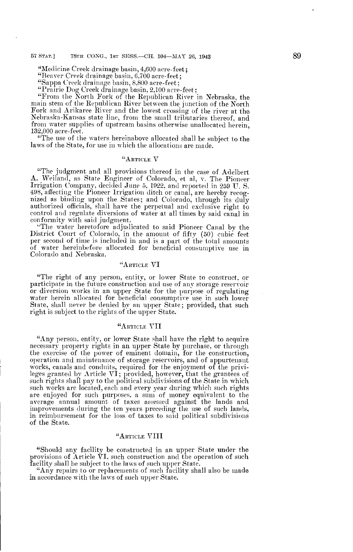"Medicine Creek drainage basin, 4,600 acre-feet ;

"Beaver Creek drainage basin, 6,700 acre-feet;

"Sappa Creek drainage basin, 8,800 acre-feet;

"Prairie Dog Creek drainage basin, 2 .100 acre-feet :

"From the North Fork of the Republican River in Nebraska, the main stem of the Republican River between the junction of the North Fork and Arikaree River and the lowest crossing of the river at the Nebraska-Kansas state line, from the small tributaries thereof, and from water supplies of upstream basins otherwise unallocated herein, 132,000 acre-feet .

"The use of the waters hereinabove allocated shall be subject to the laws of the State, for use in which the allocations are made.

### "ARTICLE V

"The judgment and all provisions thereof in the case of Adelbert A. Weiland, as State Engineer of Colorado, et al, v. The Pioneer Irrigation Company, decided June 5, 1922, and reported in 259 U.S. 498, affecting the Pioneer Irrigation ditch or canal, are hereby recognized as binding upon the States; and Colorado, through its duly authorized officials, shall have the perpetual and exclusive right to control and regulate diversions of water at all times by said canal in conformity with said judgment.

"The water heretofore adjudicated to said Pioneer Canal by the District Court of Colorado, in the amount of fifty (50) cubic' feet per second of time is included in and is a part of the total amounts of water hereinbefore allocated for beneficial consumptive use in Colorado and Nebraska.

# "ARTICLE VI

"The right of any person, entity, or lower State to construct, or participate in the future construction and use of any storage reservoir or diversion works in an upper State for the purpose of regulating water herein allocated for beneficial consumptive use in such lower State, shall never be denied by an upper State ; provided, that such right is subject to the rights of the upper State.

### "ARTICLE VII

"Any person, entity, or lower State shall have the right to acquire necessary property rights in an upper State by purchase, or through the exercise of the power of eminent domain, for the construction, operation and maintenance of storage reservoirs, and of appurtenant works, canals and conduits, required for the enjoyment of the privileges granted by Article VI ; provided, however, that the grantees of such rights shall pay to the political subdivisions of the State in which such works are located, each and every year during which such rights are enjoyed for such purposes, a sum of money equivalent to the average annual amount of taxes assessed against the lands and improvements during the ten years preceding the use of such lands, in reimbursement for the loss of taxes to said political subdivisions of the State.

# " ARTICLE VIII

"Should any facility be constructed in an upper State under the provisions of Article  $\tilde{V}I$ , such construction and the operation of such facility shall be subject to the laws of such upper State .

"Any repairs to or replacements of such facility shall also be made in accordance with the laws of such upper State.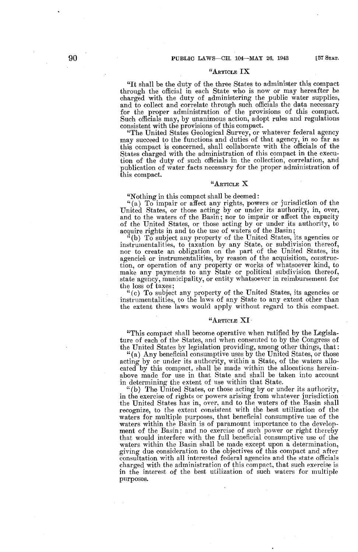# " ARTICLE IX

"It shall be the duty of the three States to administer this compact through the official in each State who is now or may hereafter be charged with the duty of administering the public water supplies, and to collect and correlate through such officials the data necessary for the proper administration of the provisions of this compact. Such officials may, by unanimous action, adopt rules and regulations consistent with the provisions of this compact .

"The United States Geological Survey, or whatever federal agency may succeed to the functions and duties of that agency, in so far as this compact is concerned, shall collaborate with the officials of the States charged with the administration of this compact in the execution of the duty of such officials in the collection, correlation, and publication of water facts necessary for the proper administration of this compact.

# "ARTICLE X

"Nothing in this compact shall be deemed

"(a) To impair or affect any rights, powers or jurisdiction of the United States, or those acting by or under its authority, in, over, and to the waters of the Basin; nor to impair or affect the capacity of the United States, or those acting by or under its authority, to acquire rights in and to the use of waters of the Basin ;

 $^{\alpha}$ (b) To subject any property of the United States, its agencies or instrumentalities, to taxation by any State, or subdivision thereof, nor to create an obligation on the part of the United States, its agencies or instrumentalities, by reason of the acquisition, construction, or operation of any property or works of whatsoever kind, to make any payments to any State or political subdivision thereof, state agency, municipality, or entity whatsoever in reimbursement for the loss of taxes ;

"(c) To subject any property of the United States, its agencies or instrumentalities, to the laws of any State to any extent other than the extent these laws would apply without regard to this compact.

# " ARTICLE XI'

"This compact shall become operative when ratified by the Legislature of each of the States, and when consented to by the Congress of the United States by legislation providing, among other things, that

"(a) Any beneficial consumptive uses by the United States, or those acting by or under its authority, within a State, of the waters allocated by this compact, shall be made within the allocations hereinabove made for use in that State and shall be taken into account in determining the extent of use within that State.

 $``(b)$  The United States, or those acting by or under its authority, in the exercise of rights or powers arising from whatever jurisdiction the United States has in, over, and to the waters of the Basin shall recognize, to the extent consistent with the best utilization of the waters for multiple purposes, that beneficial consumptive use of the waters within the Basin is of paramount importance to the development of the Basin; and no exercise of such power or right thereby that would interfere with the full beneficial consumptive use of the waters within the Basin shall be made except upon a determination, giving due consideration to the objectives of this compact and after consultation with all interested federal agencies and the state officials charged with the administration of this compact, that such exercise is in the interest of the best utilization of such waters for multiple purposes.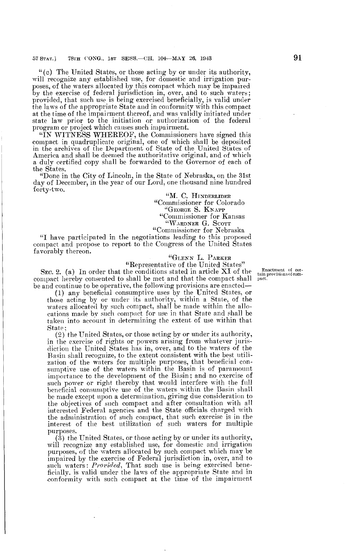"(c) The United States, or those acting by or under its authority, will recognize any established use, for domestic and irrigation purposes, of the waters allocated by this compact which may be impaired by the exercise of federal jurisdiction in, over, and to such waters; provided, that such use is being exercised beneficially, is valid under the laws of the appropriate State and in conformity with this compact at the time of the impairment thereof, and was validly initiated under state law prior to the initiation or authorization of the federal program or project which causes such impairment.

"IN WITNESS WHEREOF, the Commissioners have signed this compact in quadruplicate original, one of which shall be deposited in the archives of the Department of State of the United States of America and shall be deemed the authoritative original, and of which a duly certified copy shall be forwarded to the Governor of each of the States.

"Done in the City of Lincoln, in the State of Nebraska, on the 31st day of December, in the year of our Lord, one thousand nine hundred forty-two.

"M. C. HINDERLIDER "Commissioner for Colorado `GEORGE S. KN APP "Commissioner for Kansas "WARDNER G. SCOTT

"Commissioner for Nebraska

"I have participated in the negotiations leading to this proposed compact and propose to report to the Congress of the United States favorably thereon.

# " GLENN L. PARKER

"Representative of the United States" SEC. 2. (a) In order that the conditions stated in article XI of the compact hereby consented to shall be met and that the compact shall be and continue to be operative, the following provisions are enacted-

(1) any beneficial consumptive uses by the United States, or those acting by or under its authority, within a State, of the waters allocated by such compact, shall be made within the allocations made by such compact for use in that State and shall be taken into account in determining the extent of use within that State,

 $(2)$  the United States, or those acting by or under its authority, in the exercise of rights or powers arising from whatever jurisdiction the United States has in, over, and to the waters of the Basin shall recognize, to the extent consistent with the best utilization of the waters for multiple purposes, that beneficial consumptive use of the waters within the Basin is of paramount importance to the development of the Basin; and no exercise of such power or right thereby that would interfere with the full beneficial consumptive use of the waters within the Basin shall be made except upon a determination, giving due consideration to the objectives of such compact and after consultation with all interested Federal agencies and the State officials charged with the administration of such compact, that such exercise is in the interest of the best utilization of such waters for multiple purposes.

(3) the United States, or those acting by or under its authority, will recognize any established use, for domestic and irrigation purposes, of the waters allocated by such compact which may be impaired by the exercise of Federal jurisdiction in, over, and to such waters: Provided, That such use is being exercised beneficially, is valid under the laws of the appropriate State and in conformity with such compact at the time of the impairment

Enactment of cer-tain provisions of compact .